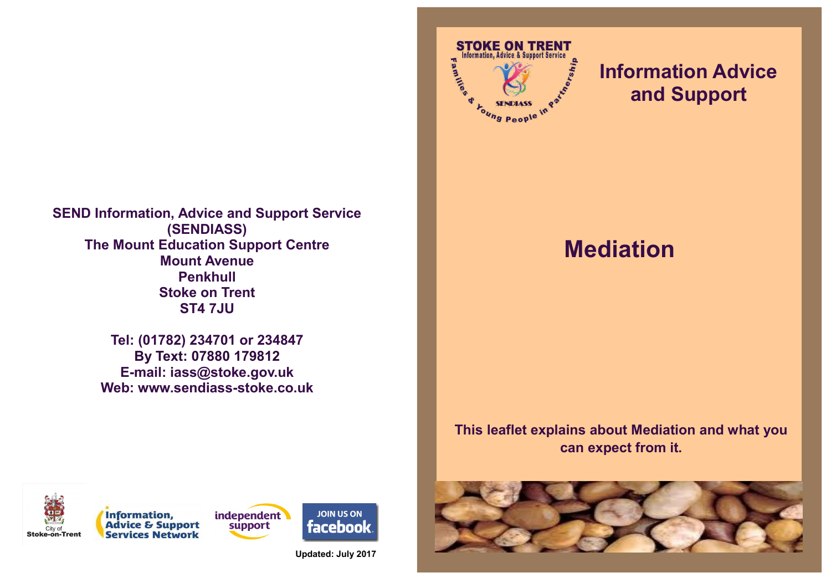**SEND Information, Advice and Support Service (SENDIASS) The Mount Education Support Centre Mount Avenue Penkhull Stoke on Trent ST4 7JU**

> **Tel: (01782) 234701 or 234847 By Text: 07880 179812 E-mail: iass@stoke.gov.uk Web: www.sendiass-stoke.co.uk**



## **Information Advice and Support**

# **Mediation**

### **This leaflet explains about Mediation and what you can expect from it.**









**Updated: July 2017**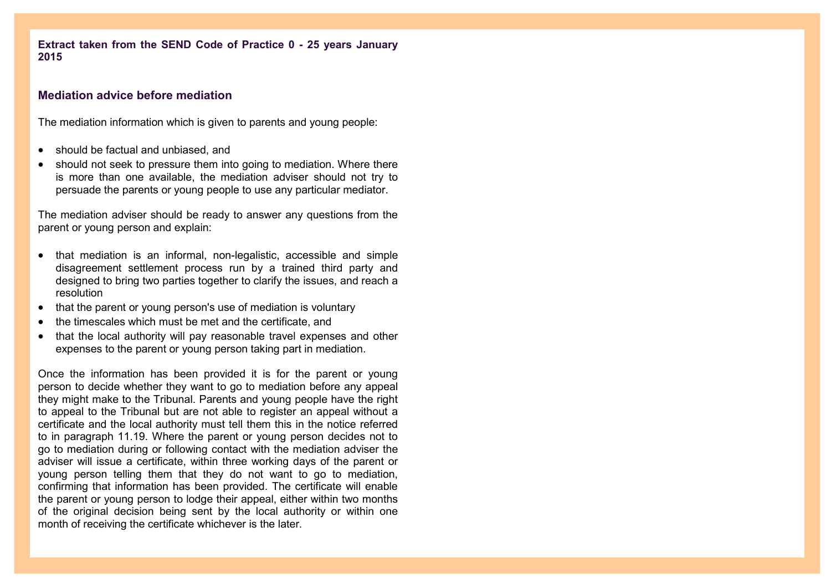**Extract taken from the SEND Code of Practice 0 - 25 years January 2015**

#### **Mediation advice before mediation**

The mediation information which is given to parents and young people:

- should be factual and unbiased, and
- should not seek to pressure them into going to mediation. Where there is more than one available, the mediation adviser should not try to persuade the parents or young people to use any particular mediator.

The mediation adviser should be ready to answer any questions from the parent or young person and explain:

- that mediation is an informal, non-legalistic, accessible and simple disagreement settlement process run by a trained third party and designed to bring two parties together to clarify the issues, and reach a resolution
- that the parent or young person's use of mediation is voluntary
- the timescales which must be met and the certificate, and
- that the local authority will pay reasonable travel expenses and other expenses to the parent or young person taking part in mediation.

Once the information has been provided it is for the parent or young person to decide whether they want to go to mediation before any appeal they might make to the Tribunal. Parents and young people have the right to appeal to the Tribunal but are not able to register an appeal without a certificate and the local authority must tell them this in the notice referred to in paragraph 11.19. Where the parent or young person decides not to go to mediation during or following contact with the mediation adviser the adviser will issue a certificate, within three working days of the parent or young person telling them that they do not want to go to mediation, confirming that information has been provided. The certificate will enable the parent or young person to lodge their appeal, either within two months of the original decision being sent by the local authority or within one month of receiving the certificate whichever is the later.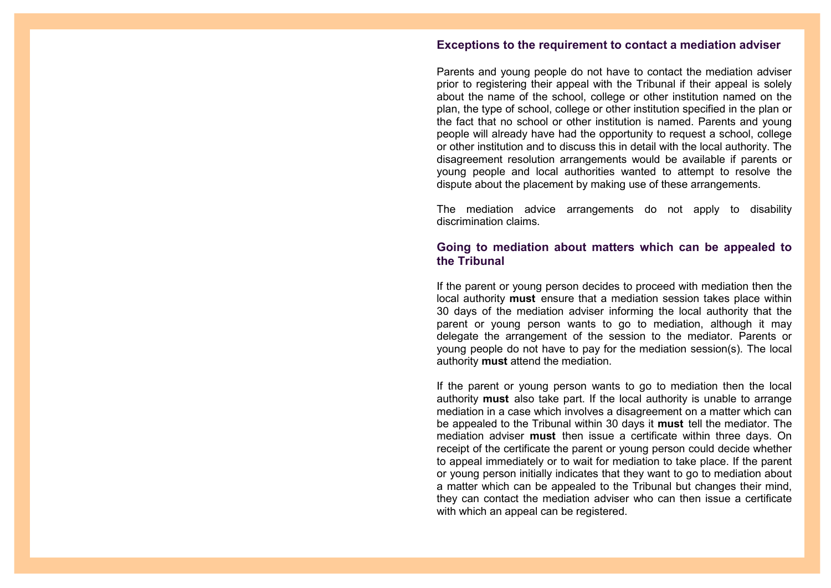#### **Exceptions to the requirement to contact a mediation adviser**

Parents and young people do not have to contact the mediation adviser prior to registering their appeal with the Tribunal if their appeal is solely about the name of the school, college or other institution named on the plan, the type of school, college or other institution specified in the plan or the fact that no school or other institution is named. Parents and young people will already have had the opportunity to request a school, college or other institution and to discuss this in detail with the local authority. The disagreement resolution arrangements would be available if parents or young people and local authorities wanted to attempt to resolve the dispute about the placement by making use of these arrangements.

The mediation advice arrangements do not apply to disability discrimination claims.

#### **Going to mediation about matters which can be appealed to the Tribunal**

If the parent or young person decides to proceed with mediation then the local authority **must** ensure that a mediation session takes place within 30 days of the mediation adviser informing the local authority that the parent or young person wants to go to mediation, although it may delegate the arrangement of the session to the mediator. Parents or young people do not have to pay for the mediation session(s). The local authority **must** attend the mediation.

If the parent or young person wants to go to mediation then the local authority **must** also take part. If the local authority is unable to arrange mediation in a case which involves a disagreement on a matter which can be appealed to the Tribunal within 30 days it **must** tell the mediator. The mediation adviser **must** then issue a certificate within three days. On receipt of the certificate the parent or young person could decide whether to appeal immediately or to wait for mediation to take place. If the parent or young person initially indicates that they want to go to mediation about a matter which can be appealed to the Tribunal but changes their mind, they can contact the mediation adviser who can then issue a certificate with which an appeal can be registered.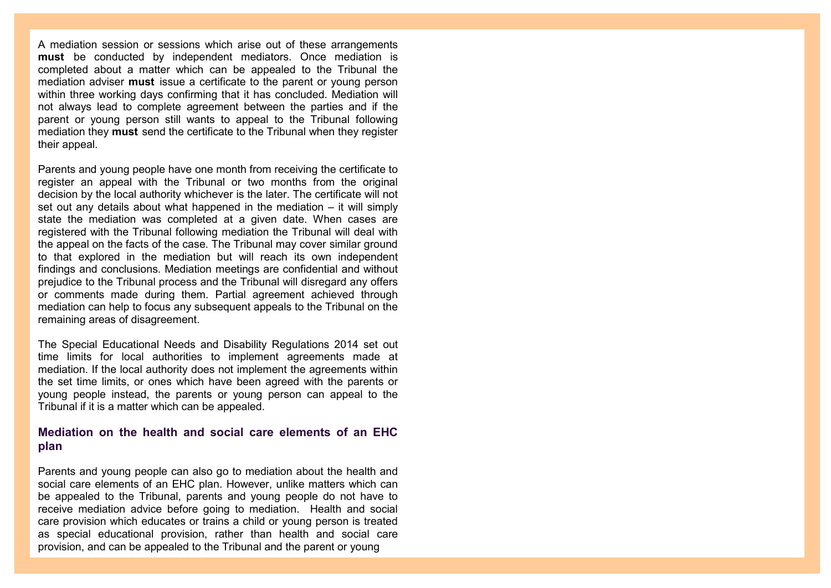A mediation session or sessions which arise out of these arrangements **must** be conducted by independent mediators. Once mediation is completed about a matter which can be appealed to the Tribunal the mediation adviser **must** issue a certificate to the parent or young person within three working days confirming that it has concluded. Mediation will not always lead to complete agreement between the parties and if the parent or young person still wants to appeal to the Tribunal following mediation they **must** send the certificate to the Tribunal when they register their appeal.

Parents and young people have one month from receiving the certificate to register an appeal with the Tribunal or two months from the original decision by the local authority whichever is the later. The certificate will not set out any details about what happened in the mediation – it will simply state the mediation was completed at a given date. When cases are registered with the Tribunal following mediation the Tribunal will deal with the appeal on the facts of the case. The Tribunal may cover similar ground to that explored in the mediation but will reach its own independent findings and conclusions. Mediation meetings are confidential and without prejudice to the Tribunal process and the Tribunal will disregard any offers or comments made during them. Partial agreement achieved through mediation can help to focus any subsequent appeals to the Tribunal on the remaining areas of disagreement.

The Special Educational Needs and Disability Regulations 2014 set out time limits for local authorities to implement agreements made at mediation. If the local authority does not implement the agreements within the set time limits, or ones which have been agreed with the parents or young people instead, the parents or young person can appeal to the Tribunal if it is a matter which can be appealed.

#### **Mediation on the health and social care elements of an EHC plan**

Parents and young people can also go to mediation about the health and social care elements of an EHC plan. However, unlike matters which can be appealed to the Tribunal, parents and young people do not have to receive mediation advice before going to mediation. Health and social care provision which educates or trains a child or young person is treated as special educational provision, rather than health and social care provision, and can be appealed to the Tribunal and the parent or young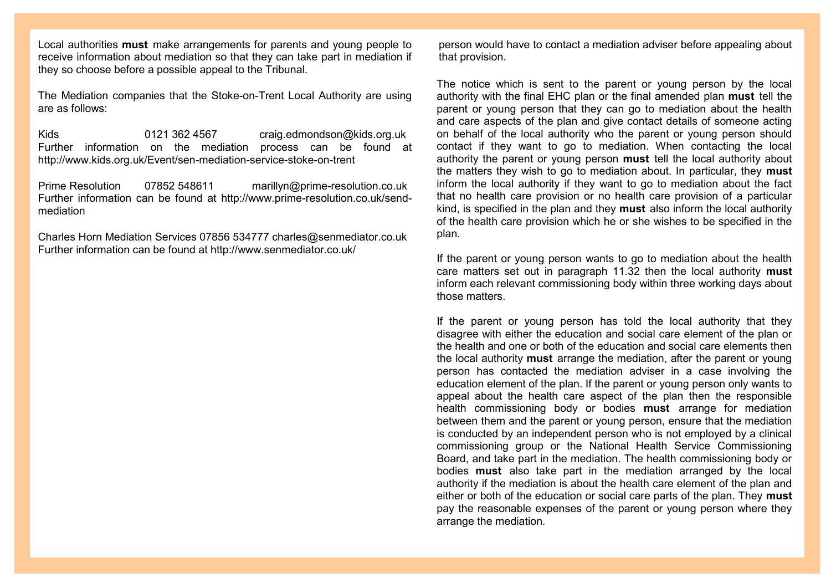Local authorities **must** make arrangements for parents and young people to receive information about mediation so that they can take part in mediation if they so choose before a possible appeal to the Tribunal.

The Mediation companies that the Stoke-on-Trent Local Authority are using are as follows:

Kids 0121 362 4567 [craig.edmondson@kids.org.uk](mailto:craig.edmondson@kids.org.uk) Further information on the mediation process can be found at http://www.kids.org.uk/Event/sen-mediation-service-stoke-on-trent

Prime Resolution 07852 548611 marillyn@prime-[resolution.co.uk](mailto:marillyn@prime-resolution.co.uk) Further information can be found at http://www.prime-resolution.co.uk/sendmediation

Charles Horn Mediation Services 07856 534777 [charles@senmediator.co.uk](mailto:charles@senmediator.co.uk) Further information can be found at http://www.senmediator.co.uk/

person would have to contact a mediation adviser before appealing about that provision.

The notice which is sent to the parent or young person by the local authority with the final EHC plan or the final amended plan **must** tell the parent or young person that they can go to mediation about the health and care aspects of the plan and give contact details of someone acting on behalf of the local authority who the parent or young person should contact if they want to go to mediation. When contacting the local authority the parent or young person **must** tell the local authority about the matters they wish to go to mediation about. In particular, they **must**  inform the local authority if they want to go to mediation about the fact that no health care provision or no health care provision of a particular kind, is specified in the plan and they **must** also inform the local authority of the health care provision which he or she wishes to be specified in the plan.

If the parent or young person wants to go to mediation about the health care matters set out in paragraph 11.32 then the local authority **must**  inform each relevant commissioning body within three working days about those matters.

If the parent or young person has told the local authority that they disagree with either the education and social care element of the plan or the health and one or both of the education and social care elements then the local authority **must** arrange the mediation, after the parent or young person has contacted the mediation adviser in a case involving the education element of the plan. If the parent or young person only wants to appeal about the health care aspect of the plan then the responsible health commissioning body or bodies **must** arrange for mediation between them and the parent or young person, ensure that the mediation is conducted by an independent person who is not employed by a clinical commissioning group or the National Health Service Commissioning Board, and take part in the mediation. The health commissioning body or bodies **must** also take part in the mediation arranged by the local authority if the mediation is about the health care element of the plan and either or both of the education or social care parts of the plan. They **must**  pay the reasonable expenses of the parent or young person where they arrange the mediation.